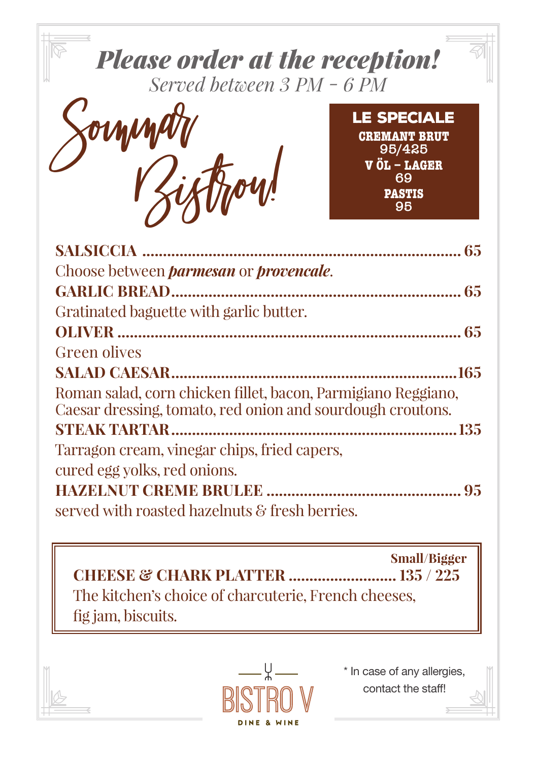

**Small/Bigger** The kitchen's choice of charcuterie. French cheeses. fig jam, biscuits.



\* In case of any allergies, contact the staff!